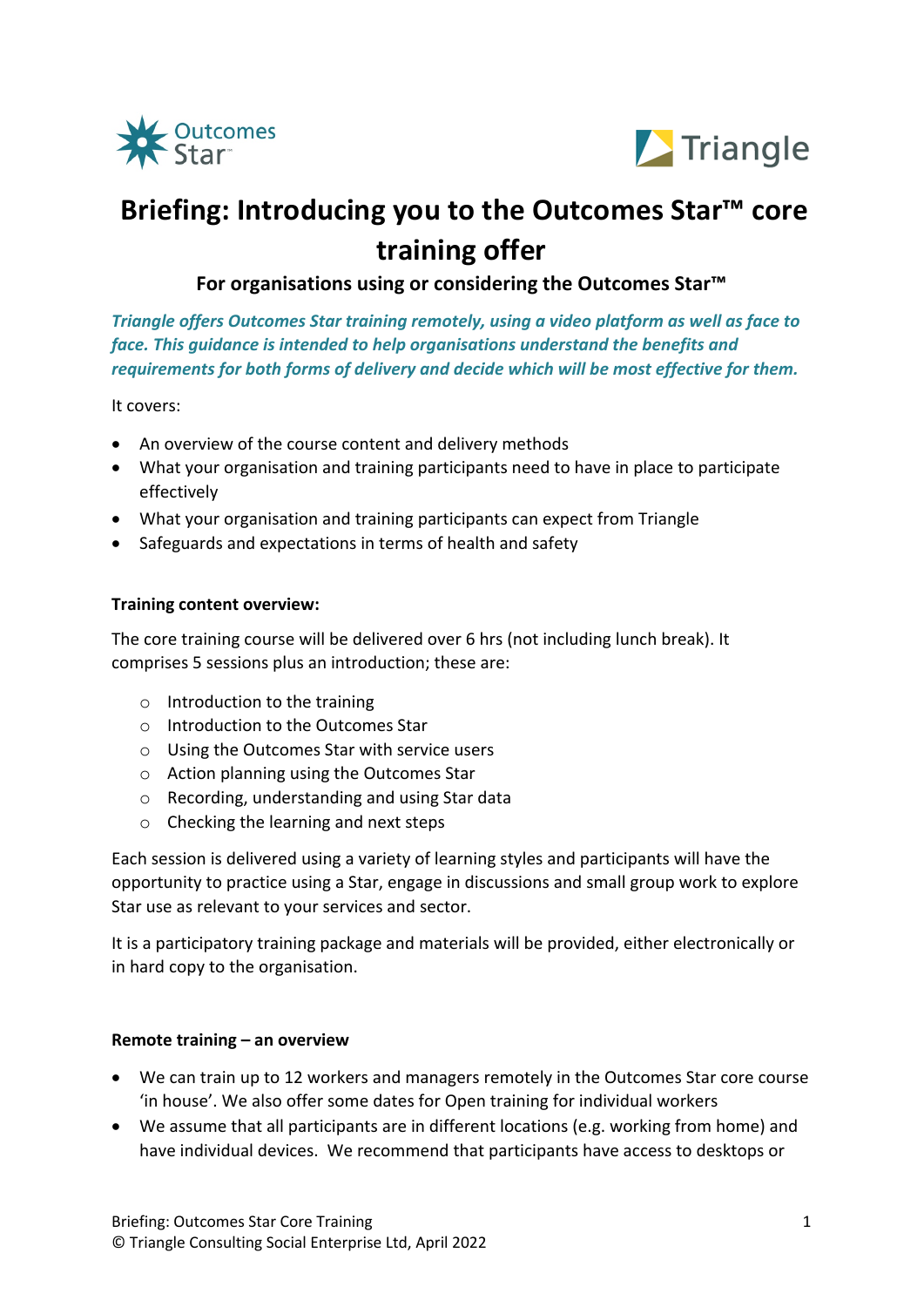



# **Briefing: Introducing you to the Outcomes Star™ core training offer**

**For organisations using or considering the Outcomes Star™** 

*Triangle offers Outcomes Star training remotely, using a video platform as well as face to face. This guidance is intended to help organisations understand the benefits and requirements for both forms of delivery and decide which will be most effective for them.*

It covers:

- An overview of the course content and delivery methods
- What your organisation and training participants need to have in place to participate effectively
- What your organisation and training participants can expect from Triangle
- Safeguards and expectations in terms of health and safety

### **Training content overview:**

The core training course will be delivered over 6 hrs (not including lunch break). It comprises 5 sessions plus an introduction; these are:

- o Introduction to the training
- o Introduction to the Outcomes Star
- o Using the Outcomes Star with service users
- o Action planning using the Outcomes Star
- o Recording, understanding and using Star data
- o Checking the learning and next steps

Each session is delivered using a variety of learning styles and participants will have the opportunity to practice using a Star, engage in discussions and small group work to explore Star use as relevant to your services and sector.

It is a participatory training package and materials will be provided, either electronically or in hard copy to the organisation.

#### **Remote training – an overview**

- We can train up to 12 workers and managers remotely in the Outcomes Star core course 'in house'. We also offer some dates for Open training for individual workers
- We assume that all participants are in different locations (e.g. working from home) and have individual devices. We recommend that participants have access to desktops or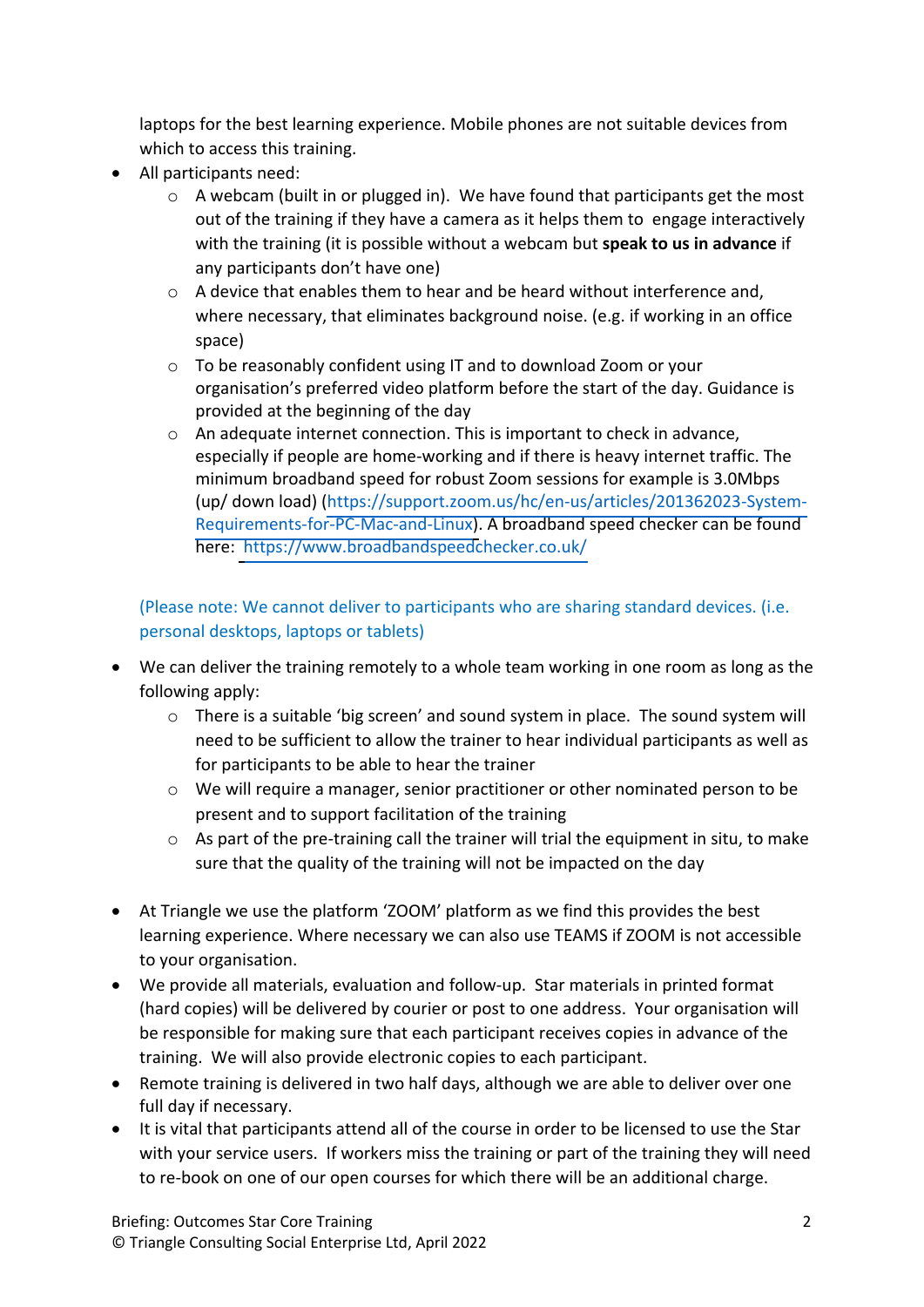laptops for the best learning experience. Mobile phones are not suitable devices from which to access this training.

- All participants need:
	- o A webcam (built in or plugged in). We have found that participants get the most out of the training if they have a camera as it helps them to engage interactively with the training (it is possible without a webcam but **speak to us in advance** if any participants don't have one)
	- $\circ$  A device that enables them to hear and be heard without interference and, where necessary, that eliminates background noise. (e.g. if working in an office space)
	- o To be reasonably confident using IT and to download Zoom or your organisation's preferred video platform before the start of the day. Guidance is provided at the beginning of the day
	- o An adequate internet connection. This is important to check in advance, especially if people are home-working and if there is heavy internet traffic. The minimum broadband speed for robust Zoom sessions for example is 3.0Mbps (up/ down load) (https://support.zoom.us/hc/en-us/articles/201362023-System-Requirements-for-PC-Mac-and-Linux). A broadband speed checker can be found here: https://www.broadbandspeedchecker.co.uk/

(Please note: We cannot deliver to participants who are sharing standard devices. (i.e. personal desktops, laptops or tablets)

- We can deliver the training remotely to a whole team working in one room as long as the following apply:
	- o There is a suitable 'big screen' and sound system in place. The sound system will need to be sufficient to allow the trainer to hear individual participants as well as for participants to be able to hear the trainer
	- o We will require a manager, senior practitioner or other nominated person to be present and to support facilitation of the training
	- o As part of the pre-training call the trainer will trial the equipment in situ, to make sure that the quality of the training will not be impacted on the day
- At Triangle we use the platform 'ZOOM' platform as we find this provides the best learning experience. Where necessary we can also use TEAMS if ZOOM is not accessible to your organisation.
- We provide all materials, evaluation and follow-up. Star materials in printed format (hard copies) will be delivered by courier or post to one address. Your organisation will be responsible for making sure that each participant receives copies in advance of the training. We will also provide electronic copies to each participant.
- Remote training is delivered in two half days, although we are able to deliver over one full day if necessary.
- It is vital that participants attend all of the course in order to be licensed to use the Star with your service users. If workers miss the training or part of the training they will need to re-book on one of our open courses for which there will be an additional charge.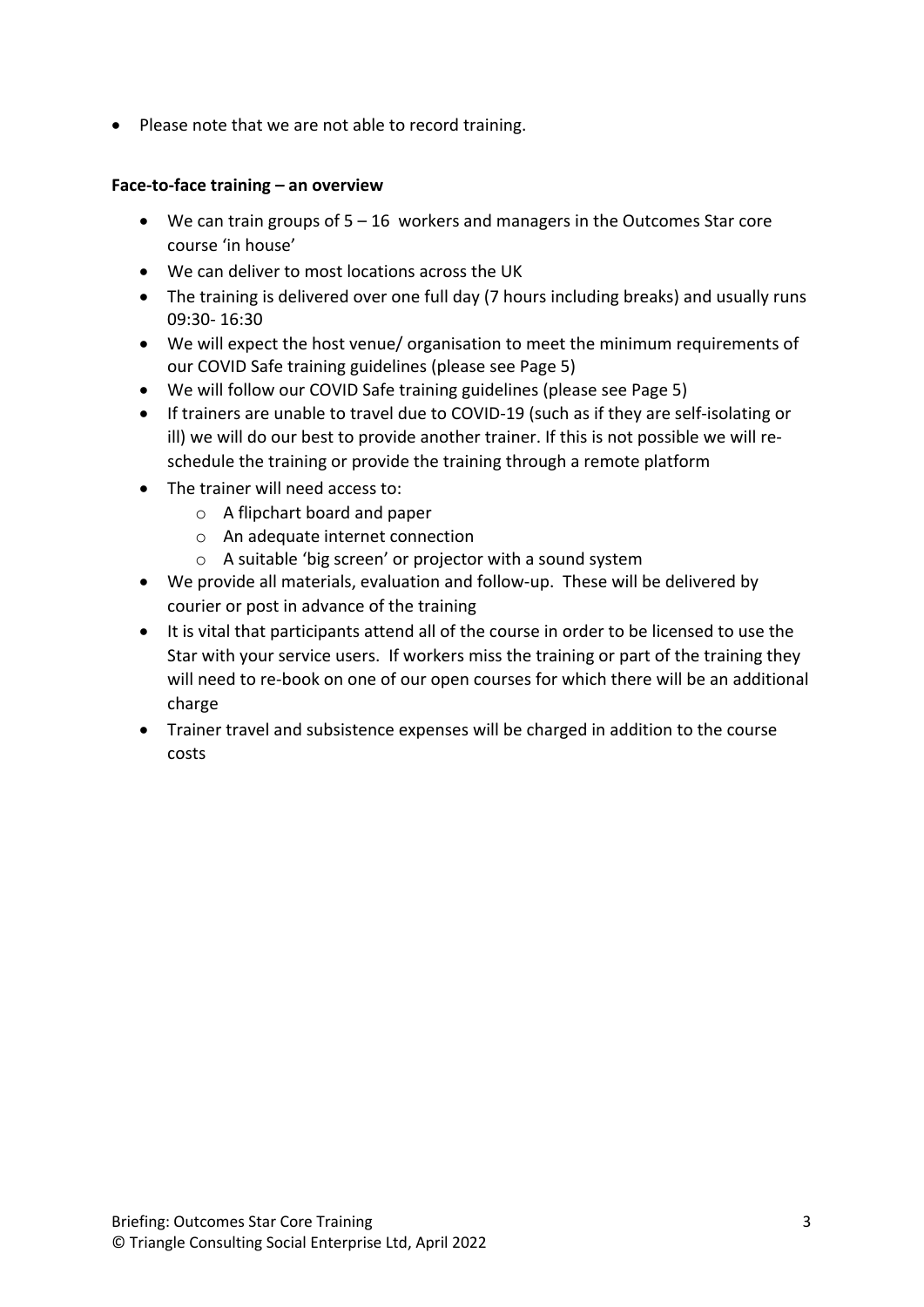• Please note that we are not able to record training.

## **Face-to-face training – an overview**

- We can train groups of 5 16 workers and managers in the Outcomes Star core course 'in house'
- We can deliver to most locations across the UK
- The training is delivered over one full day (7 hours including breaks) and usually runs 09:30- 16:30
- We will expect the host venue/ organisation to meet the minimum requirements of our COVID Safe training guidelines (please see Page 5)
- We will follow our COVID Safe training guidelines (please see Page 5)
- If trainers are unable to travel due to COVID-19 (such as if they are self-isolating or ill) we will do our best to provide another trainer. If this is not possible we will reschedule the training or provide the training through a remote platform
- The trainer will need access to:
	- o A flipchart board and paper
	- o An adequate internet connection
	- o A suitable 'big screen' or projector with a sound system
- We provide all materials, evaluation and follow-up. These will be delivered by courier or post in advance of the training
- It is vital that participants attend all of the course in order to be licensed to use the Star with your service users. If workers miss the training or part of the training they will need to re-book on one of our open courses for which there will be an additional charge
- Trainer travel and subsistence expenses will be charged in addition to the course costs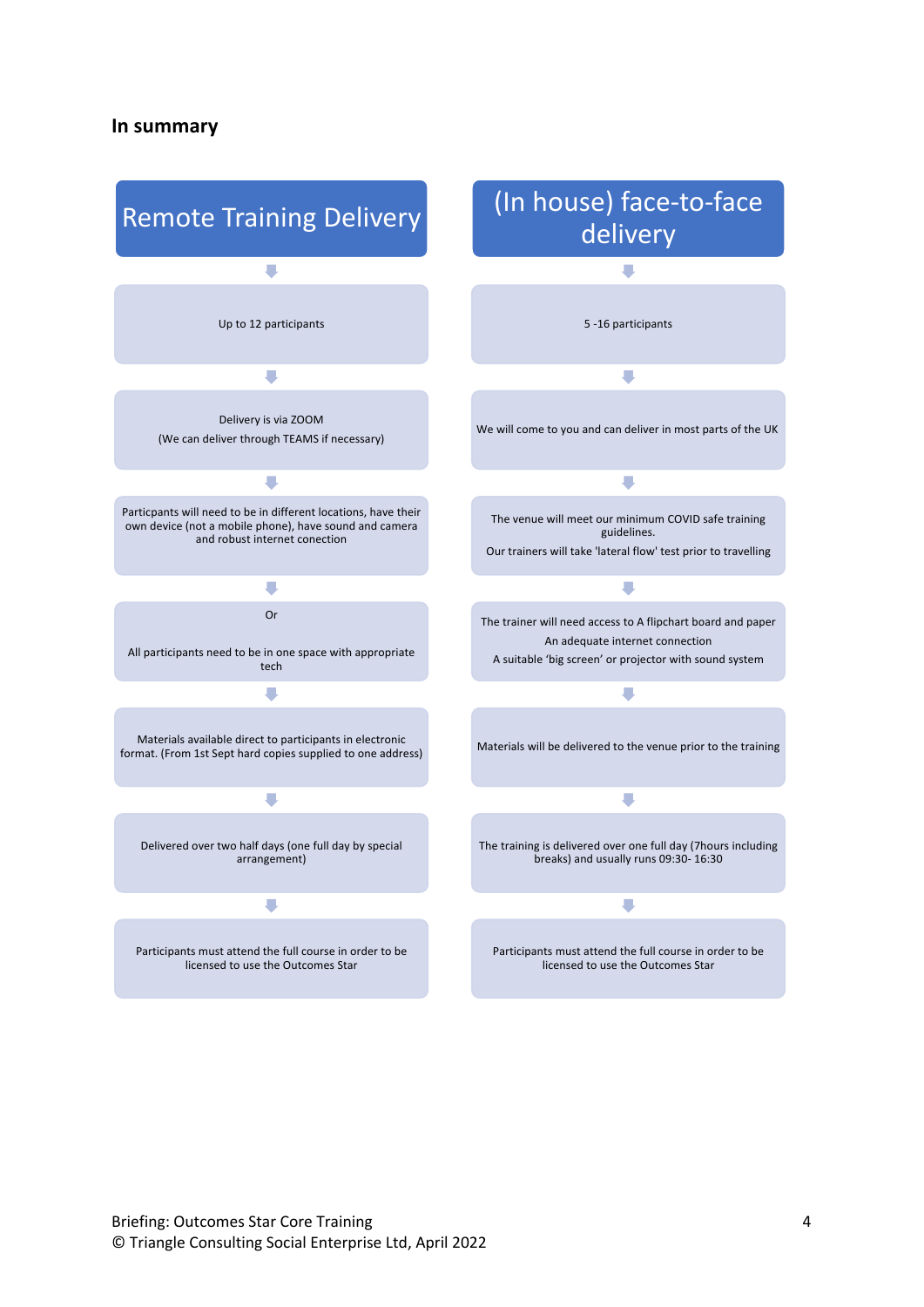#### **In summary**